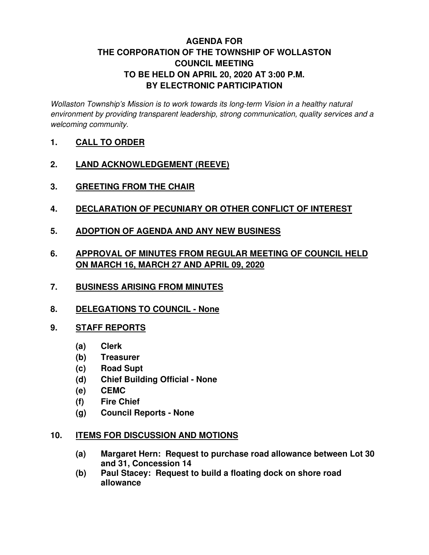# **AGENDA FOR THE CORPORATION OF THE TOWNSHIP OF WOLLASTON COUNCIL MEETING TO BE HELD ON APRIL 20, 2020 AT 3:00 P.M. BY ELECTRONIC PARTICIPATION**

Wollaston Township's Mission is to work towards its long-term Vision in a healthy natural environment by providing transparent leadership, strong communication, quality services and a welcoming community.

- **1. CALL TO ORDER**
- **2. LAND ACKNOWLEDGEMENT (REEVE)**
- **3. GREETING FROM THE CHAIR**
- **4. DECLARATION OF PECUNIARY OR OTHER CONFLICT OF INTEREST**
- **5. ADOPTION OF AGENDA AND ANY NEW BUSINESS**
- **6. APPROVAL OF MINUTES FROM REGULAR MEETING OF COUNCIL HELD ON MARCH 16, MARCH 27 AND APRIL 09, 2020**
- **7. BUSINESS ARISING FROM MINUTES**
- **8. DELEGATIONS TO COUNCIL None**
- **9. STAFF REPORTS** 
	- **(a) Clerk**
	- **(b) Treasurer**
	- **(c) Road Supt**
	- **(d) Chief Building Official None**
	- **(e) CEMC**
	- **(f) Fire Chief**
	- **(g) Council Reports None**

### **10. ITEMS FOR DISCUSSION AND MOTIONS**

- **(a) Margaret Hern: Request to purchase road allowance between Lot 30 and 31, Concession 14**
- **(b) Paul Stacey: Request to build a floating dock on shore road allowance**